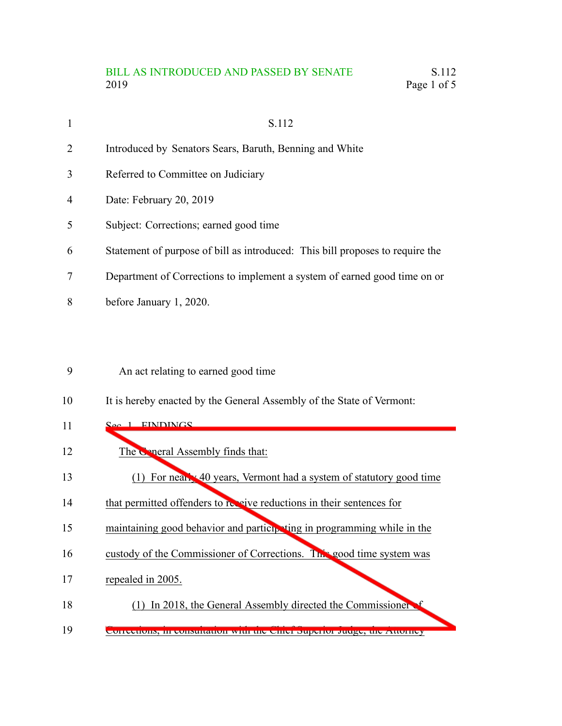# BILL AS INTRODUCED AND PASSED BY SENATE S.112 2019 Page 1 of 5

| $\mathbf{1}$   | S.112                                                                         |
|----------------|-------------------------------------------------------------------------------|
| $\overline{2}$ | Introduced by Senators Sears, Baruth, Benning and White                       |
| 3              | Referred to Committee on Judiciary                                            |
| $\overline{4}$ | Date: February 20, 2019                                                       |
| 5              | Subject: Corrections; earned good time                                        |
| 6              | Statement of purpose of bill as introduced: This bill proposes to require the |
| 7              | Department of Corrections to implement a system of earned good time on or     |
| 8              | before January 1, 2020.                                                       |
|                |                                                                               |

### An act relating to earned good time 9

It is hereby enacted by the General Assembly of the State of Vermont: 10

## 1. EINDINGS 11

- The General Assembly finds that: 12
- (1) For nearly 40 years, Vermont had a system of statutory good time 13
- that permitted offenders to receive reductions in their sentences for 14
- maintaining good behavior and participating in programming while in the 15
- custody of the Commissioner of Corrections. This good time system was 16
- repealed in 2005. 17
- (1) In 2018, the General Assembly directed the Commissioner of 18
- Corrections, in consultation with the Chief Superior Judge, the Attorney 19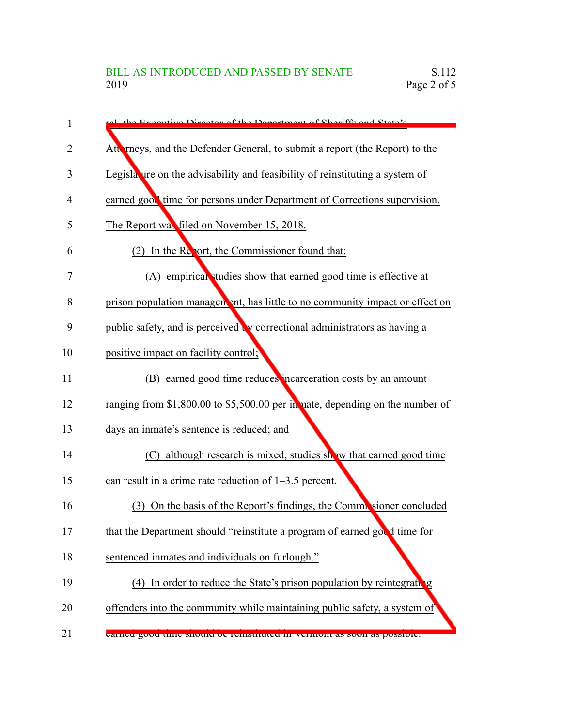| 1  | ral the Executive Director of the Department of Sheriffs and State's             |
|----|----------------------------------------------------------------------------------|
| 2  | Atterneys, and the Defender General, to submit a report (the Report) to the      |
| 3  | Legislature on the advisability and feasibility of reinstituting a system of     |
| 4  | earned good time for persons under Department of Corrections supervision.        |
| 5  | The Report was filed on November 15, 2018.                                       |
| 6  | (2) In the Report, the Commissioner found that:                                  |
| 7  | (A) empirical studies show that earned good time is effective at                 |
| 8  | prison population management, has little to no community impact or effect on     |
| 9  | public safety, and is perceived <b>b</b> correctional administrators as having a |
| 10 | positive impact on facility control;                                             |
| 11 | (B) earned good time reduces incarceration costs by an amount                    |
| 12 | ranging from \$1,800.00 to \$5,500.00 per in nate, depending on the number of    |
| 13 | days an inmate's sentence is reduced; and                                        |
| 14 | (C) although research is mixed, studies show that earned good time               |
| 15 | can result in a crime rate reduction of $1-3.5$ percent.                         |
| 16 | On the basis of the Report's findings, the Commissioner concluded<br>(3)         |
| 17 | that the Department should "reinstitute a program of earned good time for        |
| 18 | sentenced inmates and individuals on furlough."                                  |
| 19 | In order to reduce the State's prison population by reintegrating<br>(4)         |
| 20 | offenders into the community while maintaining public safety, a system of        |
| 21 | earned good time should be remstituted in vermoin as soon as possible.           |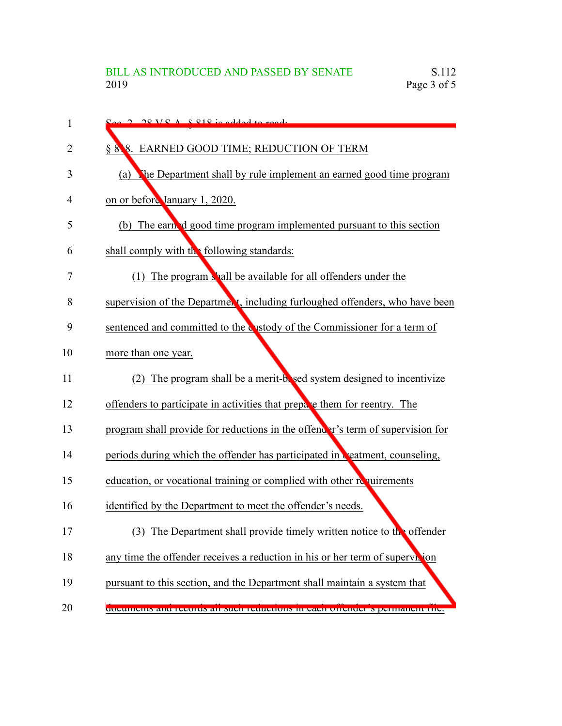| 1  | $S_{\text{AC}}$ 2 28 V $S_A$ $S_A$ $R1$ is added to read.                           |
|----|-------------------------------------------------------------------------------------|
| 2  | § 888. EARNED GOOD TIME; REDUCTION OF TERM                                          |
| 3  | the Department shall by rule implement an earned good time program<br>(a)           |
| 4  | on or before January 1, 2020.                                                       |
| 5  | (b) The earned good time program implemented pursuant to this section               |
| 6  | shall comply with the following standards:                                          |
| 7  | (1) The program shall be available for all offenders under the                      |
| 8  | supervision of the Department, including furloughed offenders, who have been        |
| 9  | sentenced and committed to the custody of the Commissioner for a term of            |
| 10 | more than one year.                                                                 |
| 11 | The program shall be a merit-bosed system designed to incentivize<br>(2)            |
| 12 | offenders to participate in activities that prepare them for reentry. The           |
| 13 | program shall provide for reductions in the offender's term of supervision for      |
| 14 | periods during which the offender has participated in <b>Reatment</b> , counseling, |
| 15 | education, or vocational training or complied with other requirements               |
| 16 | identified by the Department to meet the offender's needs.                          |
| 17 | The Department shall provide timely written notice to the offender<br>(3)           |
| 18 | any time the offender receives a reduction in his or her term of superviction       |
| 19 | pursuant to this section, and the Department shall maintain a system that           |
| 20 | <u>aocuments and records an such reductions in each orienter s permanent met</u>    |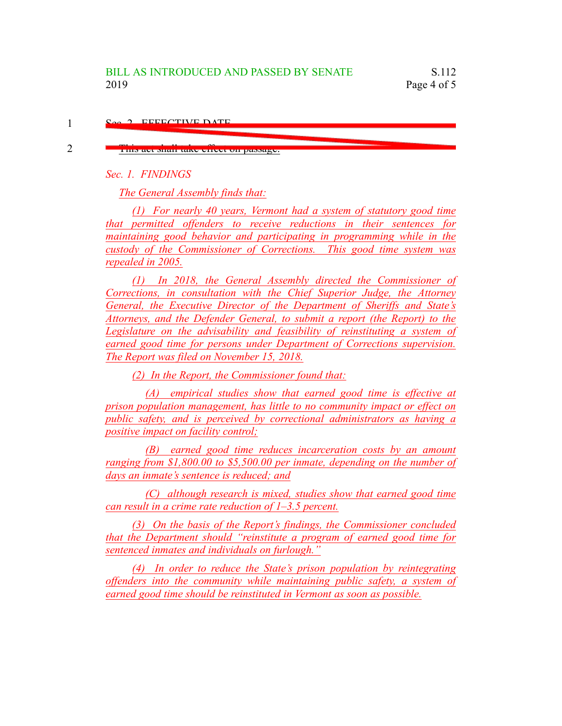#### Sec. 2. EFFECTIVE DATE 1

### This act shall take effect on passage.

*Sec. 1. FINDINGS*

2

*The General Assembly finds that:*

*(1) For nearly 40 years, Vermont had a system of statutory good time that permitted offenders to receive reductions in their sentences for maintaining good behavior and participating in programming while in the custody of the Commissioner of Corrections. This good time system was repealed in 2005.*

*(1) In 2018, the General Assembly directed the Commissioner of Corrections, in consultation with the Chief Superior Judge, the Attorney General, the Executive Director of the Department of Sheriffs and State's Attorneys, and the Defender General, to submit a report (the Report) to the Legislature on the advisability and feasibility of reinstituting a system of earned good time for persons under Department of Corrections supervision. The Report was filed on November 15, 2018.*

*(2) In the Report, the Commissioner found that:*

*(A) empirical studies show that earned good time is effective at prison population management, has little to no community impact or effect on public safety, and is perceived by correctional administrators as having a positive impact on facility control;*

*(B) earned good time reduces incarceration costs by an amount ranging from \$1,800.00 to \$5,500.00 per inmate, depending on the number of days an inmate's sentence is reduced; and*

*(C) although research is mixed, studies show that earned good time can result in a crime rate reduction of 1–3.5 percent.*

*(3) On the basis of the Report's findings, the Commissioner concluded that the Department should "reinstitute a program of earned good time for sentenced inmates and individuals on furlough."*

*(4) In order to reduce the State's prison population by reintegrating offenders into the community while maintaining public safety, a system of earned good time should be reinstituted in Vermont as soon as possible.*